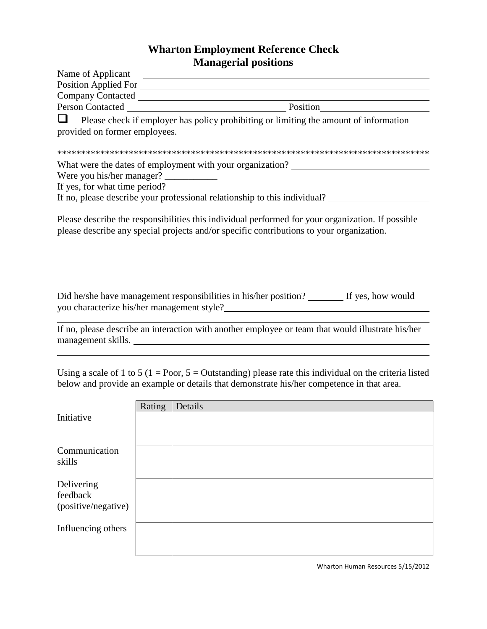## **Wharton Employment Reference Check Managerial positions**

| Name of Applicant             |                                                                                                                                                                                               |
|-------------------------------|-----------------------------------------------------------------------------------------------------------------------------------------------------------------------------------------------|
| <b>Position Applied For</b>   |                                                                                                                                                                                               |
| <b>Company Contacted</b>      |                                                                                                                                                                                               |
|                               | Position<br>Person Contacted <b>Exercísion</b>                                                                                                                                                |
| provided on former employees. | Please check if employer has policy prohibiting or limiting the amount of information                                                                                                         |
|                               |                                                                                                                                                                                               |
|                               | What were the dates of employment with your organization?                                                                                                                                     |
| Were you his/her manager?     |                                                                                                                                                                                               |
| If yes, for what time period? |                                                                                                                                                                                               |
|                               | If no, please describe your professional relationship to this individual?                                                                                                                     |
|                               | Please describe the responsibilities this individual performed for your organization. If possible<br>please describe any special projects and/or specific contributions to your organization. |

Did he/she have management responsibilities in his/her position? If yes, how would you characterize his/her management style?

 $\overline{a}$ 

 $\overline{a}$ 

If no, please describe an interaction with another employee or team that would illustrate his/her management skills.

Using a scale of 1 to 5 (1 = Poor,  $5 =$  Outstanding) please rate this individual on the criteria listed below and provide an example or details that demonstrate his/her competence in that area.

| Rating<br>Details                                          |  |
|------------------------------------------------------------|--|
|                                                            |  |
|                                                            |  |
|                                                            |  |
|                                                            |  |
|                                                            |  |
|                                                            |  |
|                                                            |  |
|                                                            |  |
|                                                            |  |
|                                                            |  |
|                                                            |  |
| Communication<br>(positive/negative)<br>Influencing others |  |

Wharton Human Resources 5/15/2012